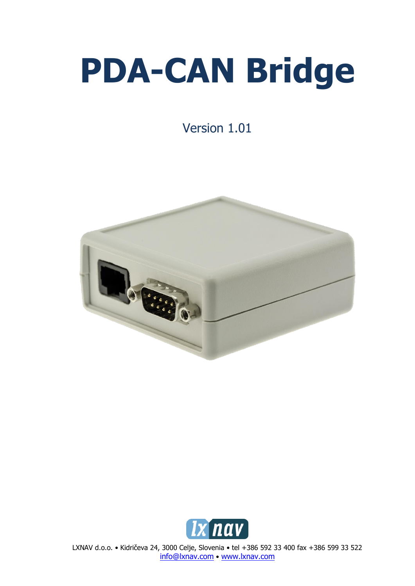# **PDA-CAN Bridge**

Version 1.01





LXNAV d.o.o. • Kidričeva 24, 3000 Celje, Slovenia • tel +386 592 33 400 fax +386 599 33 522 [info@lxnav.com](mailto:support@lxnavigation.si) • www.lxnav.com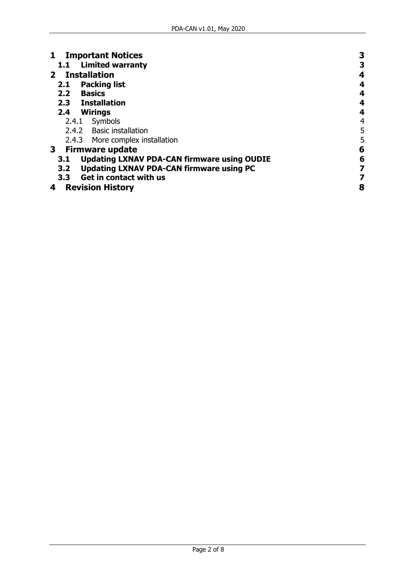| <b>Important Notices</b>                                  | 3 |
|-----------------------------------------------------------|---|
| 1.1 Limited warranty                                      | З |
| 2 Installation                                            | 4 |
| <b>Packing list</b><br>2.1                                | 4 |
| <b>Basics</b><br>2.2                                      | 4 |
| 2.3 Installation                                          | 4 |
| 2.4 Wirings                                               | 4 |
| 2.4.1 Symbols                                             | 4 |
| 2.4.2 Basic installation                                  | 5 |
| 2.4.3 More complex installation                           | 5 |
| 3 Firmware update                                         | 6 |
| <b>Updating LXNAV PDA-CAN firmware using OUDIE</b><br>3.1 | 6 |
| <b>Updating LXNAV PDA-CAN firmware using PC</b><br>3.2    | 7 |
| 3.3 Get in contact with us                                |   |
| <b>Revision History</b><br>4                              | 8 |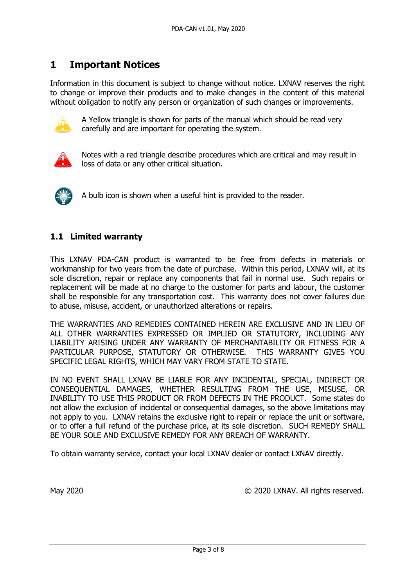# <span id="page-2-0"></span>**1 Important Notices**

Information in this document is subject to change without notice. LXNAV reserves the right to change or improve their products and to make changes in the content of this material without obligation to notify any person or organization of such changes or improvements.



A Yellow triangle is shown for parts of the manual which should be read very carefully and are important for operating the system.



Notes with a red triangle describe procedures which are critical and may result in loss of data or any other critical situation.



A bulb icon is shown when a useful hint is provided to the reader.

## <span id="page-2-1"></span>**1.1 Limited warranty**

This LXNAV PDA-CAN product is warranted to be free from defects in materials or workmanship for two years from the date of purchase. Within this period, LXNAV will, at its sole discretion, repair or replace any components that fail in normal use. Such repairs or replacement will be made at no charge to the customer for parts and labour, the customer shall be responsible for any transportation cost. This warranty does not cover failures due to abuse, misuse, accident, or unauthorized alterations or repairs.

THE WARRANTIES AND REMEDIES CONTAINED HEREIN ARE EXCLUSIVE AND IN LIEU OF ALL OTHER WARRANTIES EXPRESSED OR IMPLIED OR STATUTORY, INCLUDING ANY LIABILITY ARISING UNDER ANY WARRANTY OF MERCHANTABILITY OR FITNESS FOR A PARTICULAR PURPOSE, STATUTORY OR OTHERWISE. THIS WARRANTY GIVES YOU SPECIFIC LEGAL RIGHTS, WHICH MAY VARY FROM STATE TO STATE.

IN NO EVENT SHALL LXNAV BE LIABLE FOR ANY INCIDENTAL, SPECIAL, INDIRECT OR CONSEQUENTIAL DAMAGES, WHETHER RESULTING FROM THE USE, MISUSE, OR INABILITY TO USE THIS PRODUCT OR FROM DEFECTS IN THE PRODUCT. Some states do not allow the exclusion of incidental or consequential damages, so the above limitations may not apply to you. LXNAV retains the exclusive right to repair or replace the unit or software, or to offer a full refund of the purchase price, at its sole discretion. SUCH REMEDY SHALL BE YOUR SOLE AND EXCLUSIVE REMEDY FOR ANY BREACH OF WARRANTY.

To obtain warranty service, contact your local LXNAV dealer or contact LXNAV directly.

May 2020 COMPUTER COMPANY. All rights reserved.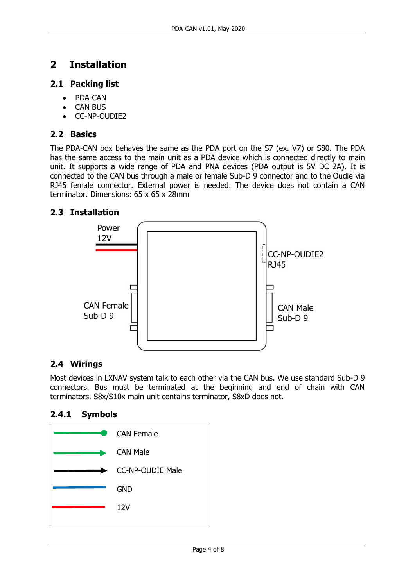# <span id="page-3-0"></span>**2 Installation**

#### <span id="page-3-1"></span>**2.1 Packing list**

- PDA-CAN
- CAN BUS
- CC-NP-OUDIE2

## <span id="page-3-2"></span>**2.2 Basics**

The PDA-CAN box behaves the same as the PDA port on the S7 (ex. V7) or S80. The PDA has the same access to the main unit as a PDA device which is connected directly to main unit. It supports a wide range of PDA and PNA devices (PDA output is 5V DC 2A). It is connected to the CAN bus through a male or female Sub-D 9 connector and to the Oudie via RJ45 female connector. External power is needed. The device does not contain a CAN terminator. Dimensions: 65 x 65 x 28mm

## <span id="page-3-3"></span>**2.3 Installation**



#### <span id="page-3-4"></span>**2.4 Wirings**

Most devices in LXNAV system talk to each other via the CAN bus. We use standard Sub-D 9 connectors. Bus must be terminated at the beginning and end of chain with CAN terminators. S8x/S10x main unit contains terminator, S8xD does not.

#### <span id="page-3-5"></span>**2.4.1 Symbols**

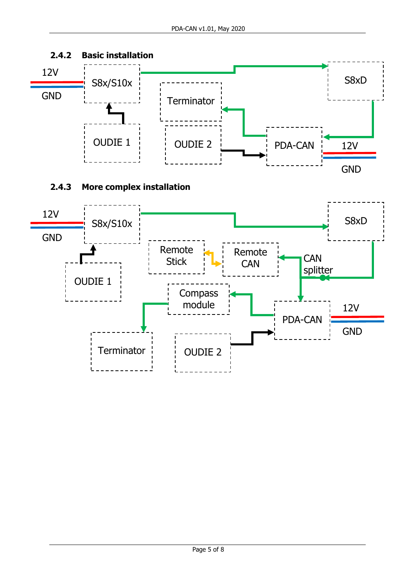<span id="page-4-1"></span><span id="page-4-0"></span>

module

Terminator | | OUDIE 2

PDA-CAN

12V

GND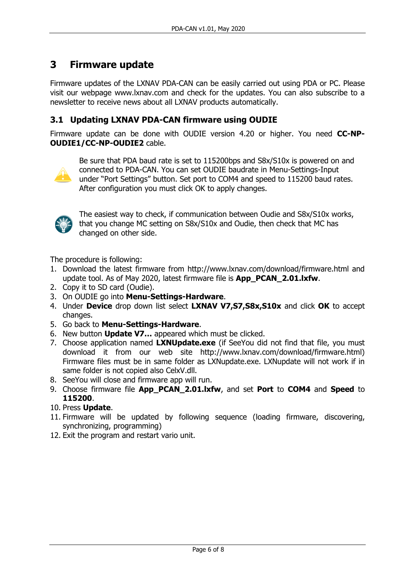# <span id="page-5-0"></span>**3 Firmware update**

Firmware updates of the LXNAV PDA-CAN can be easily carried out using PDA or PC. Please visit our webpage www.lxnav.com and check for the updates. You can also subscribe to a newsletter to receive news about all LXNAV products automatically.

#### <span id="page-5-1"></span>**3.1 Updating LXNAV PDA-CAN firmware using OUDIE**

Firmware update can be done with OUDIE version 4.20 or higher. You need **CC-NP-OUDIE1/CC-NP-OUDIE2** cable.



Be sure that PDA baud rate is set to 115200bps and S8x/S10x is powered on and connected to PDA-CAN. You can set OUDIE baudrate in Menu-Settings-Input under "Port Settings" button. Set port to COM4 and speed to 115200 baud rates. After configuration you must click OK to apply changes.



The easiest way to check, if communication between Oudie and S8x/S10x works, that you change MC setting on S8x/S10x and Oudie, then check that MC has changed on other side.

The procedure is following:

- 1. Download the latest firmware from http://www.lxnav.com/download/firmware.html and update tool. As of May 2020, latest firmware file is **App\_PCAN\_2.01.lxfw**.
- 2. Copy it to SD card (Oudie).
- 3. On OUDIE go into **Menu-Settings-Hardware**.
- 4. Under **Device** drop down list select **LXNAV V7,S7,S8x,S10x** and click **OK** to accept changes.
- 5. Go back to **Menu-Settings-Hardware**.
- 6. New button **Update V7…** appeared which must be clicked.
- 7. Choose application named **LXNUpdate.exe** (if SeeYou did not find that file, you must download it from our web site http://www.lxnav.com/download/firmware.html) Firmware files must be in same folder as LXNupdate.exe. LXNupdate will not work if in same folder is not copied also CelxV.dll.
- 8. SeeYou will close and firmware app will run.
- 9. Choose firmware file **App\_PCAN\_2.01.lxfw**, and set **Port** to **COM4** and **Speed** to **115200**.
- 10. Press **Update**.
- 11. Firmware will be updated by following sequence (loading firmware, discovering, synchronizing, programming)
- 12. Exit the program and restart vario unit.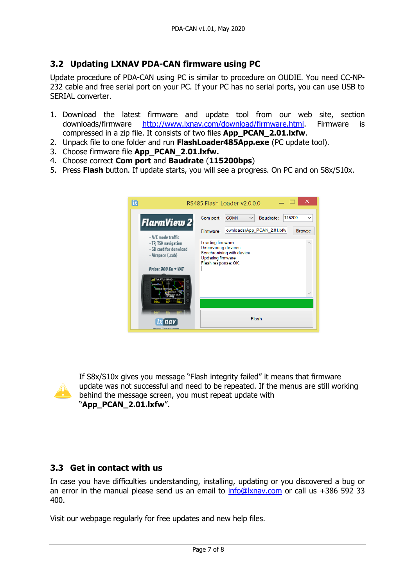## <span id="page-6-0"></span>**3.2 Updating LXNAV PDA-CAN firmware using PC**

Update procedure of PDA-CAN using PC is similar to procedure on OUDIE. You need CC-NP-232 cable and free serial port on your PC. If your PC has no serial ports, you can use USB to SERIAL converter.

- 1. Download the latest firmware and update tool from our web site, section downloads/firmware [http://www.lxnav.com/download/firmware.html.](http://www.lxnav.com/download/firmware.html) Firmware is compressed in a zip file. It consists of two files **App\_PCAN\_2.01.lxfw**.
- 2. Unpack file to one folder and run **FlashLoader485App.exe** (PC update tool).
- 3. Choose firmware file **App\_PCAN\_2.01.lxfw.**
- 4. Choose correct **Com port** and **Baudrate** (**115200bps**)
- 5. Press **Flash** button. If update starts, you will see a progress. On PC and on S8x/S10x.



If S8x/S10x gives you message "Flash integrity failed" it means that firmware update was not successful and need to be repeated. If the menus are still working behind the message screen, you must repeat update with "**App\_PCAN\_2.01.lxfw**".

#### <span id="page-6-1"></span>**3.3 Get in contact with us**

In case you have difficulties understanding, installing, updating or you discovered a bug or an error in the manual please send us an email to  $info@lxnav.com$  or call us  $+386$  592 33 400.

Visit our webpage regularly for free updates and new help files.